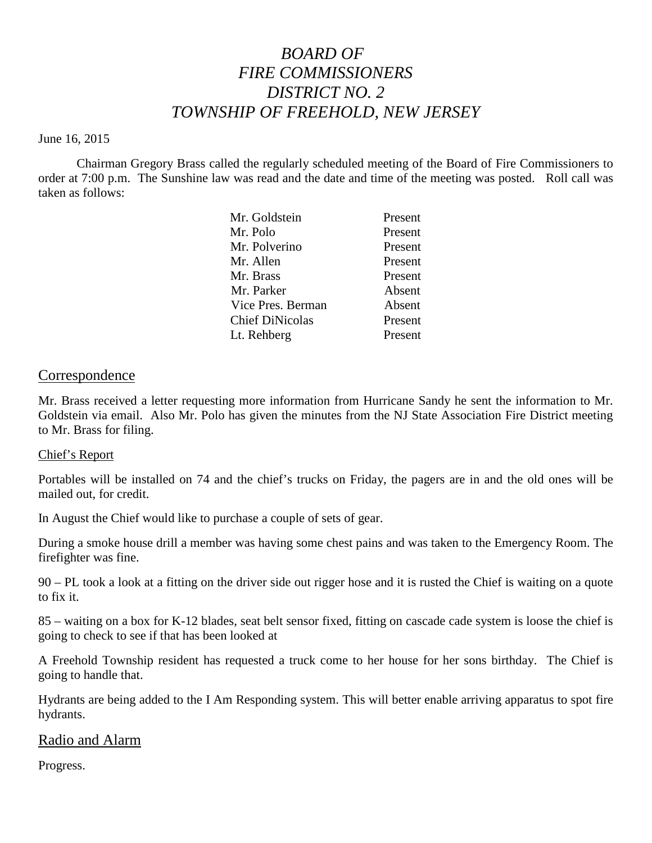# *BOARD OF FIRE COMMISSIONERS DISTRICT NO. 2 TOWNSHIP OF FREEHOLD, NEW JERSEY*

#### June 16, 2015

Chairman Gregory Brass called the regularly scheduled meeting of the Board of Fire Commissioners to order at 7:00 p.m. The Sunshine law was read and the date and time of the meeting was posted. Roll call was taken as follows:

| Mr. Goldstein          | Present |
|------------------------|---------|
| Mr. Polo               | Present |
| Mr. Polverino          | Present |
| Mr. Allen              | Present |
| Mr. Brass              | Present |
| Mr. Parker             | Absent  |
| Vice Pres. Berman      | Absent  |
| <b>Chief DiNicolas</b> | Present |
| Lt. Rehberg            | Present |
|                        |         |

#### Correspondence

Mr. Brass received a letter requesting more information from Hurricane Sandy he sent the information to Mr. Goldstein via email. Also Mr. Polo has given the minutes from the NJ State Association Fire District meeting to Mr. Brass for filing.

#### Chief's Report

Portables will be installed on 74 and the chief's trucks on Friday, the pagers are in and the old ones will be mailed out, for credit.

In August the Chief would like to purchase a couple of sets of gear.

During a smoke house drill a member was having some chest pains and was taken to the Emergency Room. The firefighter was fine.

90 – PL took a look at a fitting on the driver side out rigger hose and it is rusted the Chief is waiting on a quote to fix it.

85 – waiting on a box for K-12 blades, seat belt sensor fixed, fitting on cascade cade system is loose the chief is going to check to see if that has been looked at

A Freehold Township resident has requested a truck come to her house for her sons birthday. The Chief is going to handle that.

Hydrants are being added to the I Am Responding system. This will better enable arriving apparatus to spot fire hydrants.

# Radio and Alarm

Progress.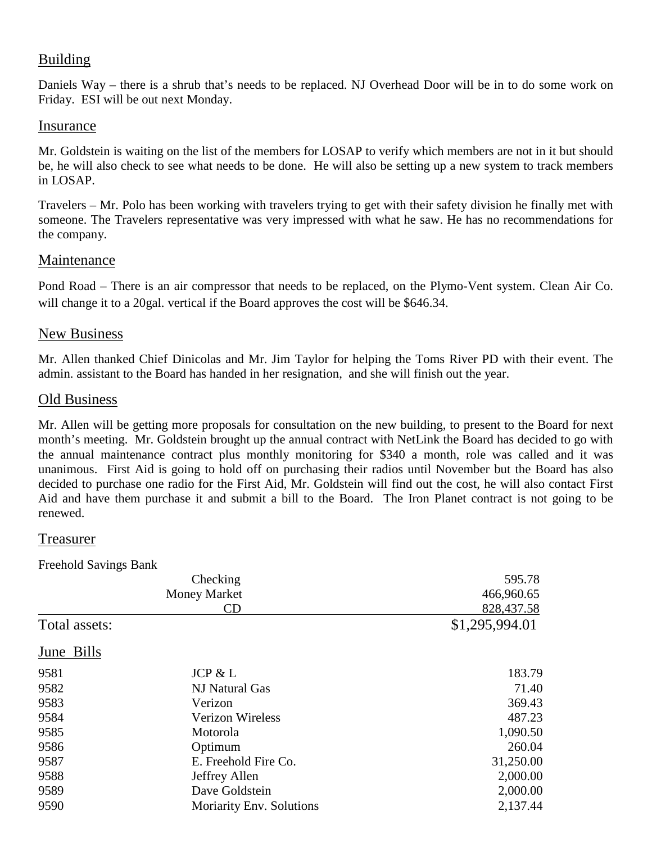# Building

Daniels Way – there is a shrub that's needs to be replaced. NJ Overhead Door will be in to do some work on Friday. ESI will be out next Monday.

#### Insurance

Mr. Goldstein is waiting on the list of the members for LOSAP to verify which members are not in it but should be, he will also check to see what needs to be done. He will also be setting up a new system to track members in LOSAP.

Travelers – Mr. Polo has been working with travelers trying to get with their safety division he finally met with someone. The Travelers representative was very impressed with what he saw. He has no recommendations for the company.

# Maintenance

Pond Road – There is an air compressor that needs to be replaced, on the Plymo-Vent system. Clean Air Co. will change it to a 20gal. vertical if the Board approves the cost will be \$646.34.

# New Business

Mr. Allen thanked Chief Dinicolas and Mr. Jim Taylor for helping the Toms River PD with their event. The admin. assistant to the Board has handed in her resignation, and she will finish out the year.

# Old Business

Mr. Allen will be getting more proposals for consultation on the new building, to present to the Board for next month's meeting. Mr. Goldstein brought up the annual contract with NetLink the Board has decided to go with the annual maintenance contract plus monthly monitoring for \$340 a month, role was called and it was unanimous. First Aid is going to hold off on purchasing their radios until November but the Board has also decided to purchase one radio for the First Aid, Mr. Goldstein will find out the cost, he will also contact First Aid and have them purchase it and submit a bill to the Board. The Iron Planet contract is not going to be renewed.

#### Treasurer

Freehold Savings Bank

| Treemond Davings Dank           |                                 |                      |
|---------------------------------|---------------------------------|----------------------|
| Checking<br><b>Money Market</b> |                                 | 595.78<br>466,960.65 |
|                                 |                                 |                      |
| Total assets:                   |                                 | \$1,295,994.01       |
| June Bills                      |                                 |                      |
| 9581                            | JCP & L                         | 183.79               |
| 9582                            | NJ Natural Gas                  | 71.40                |
| 9583                            | Verizon                         | 369.43               |
| 9584                            | <b>Verizon Wireless</b>         | 487.23               |
| 9585                            | Motorola                        | 1,090.50             |
| 9586                            | Optimum                         | 260.04               |
| 9587                            | E. Freehold Fire Co.            | 31,250.00            |
| 9588                            | Jeffrey Allen                   | 2,000.00             |
| 9589                            | Dave Goldstein                  | 2,000.00             |
| 9590                            | <b>Moriarity Env. Solutions</b> | 2,137.44             |